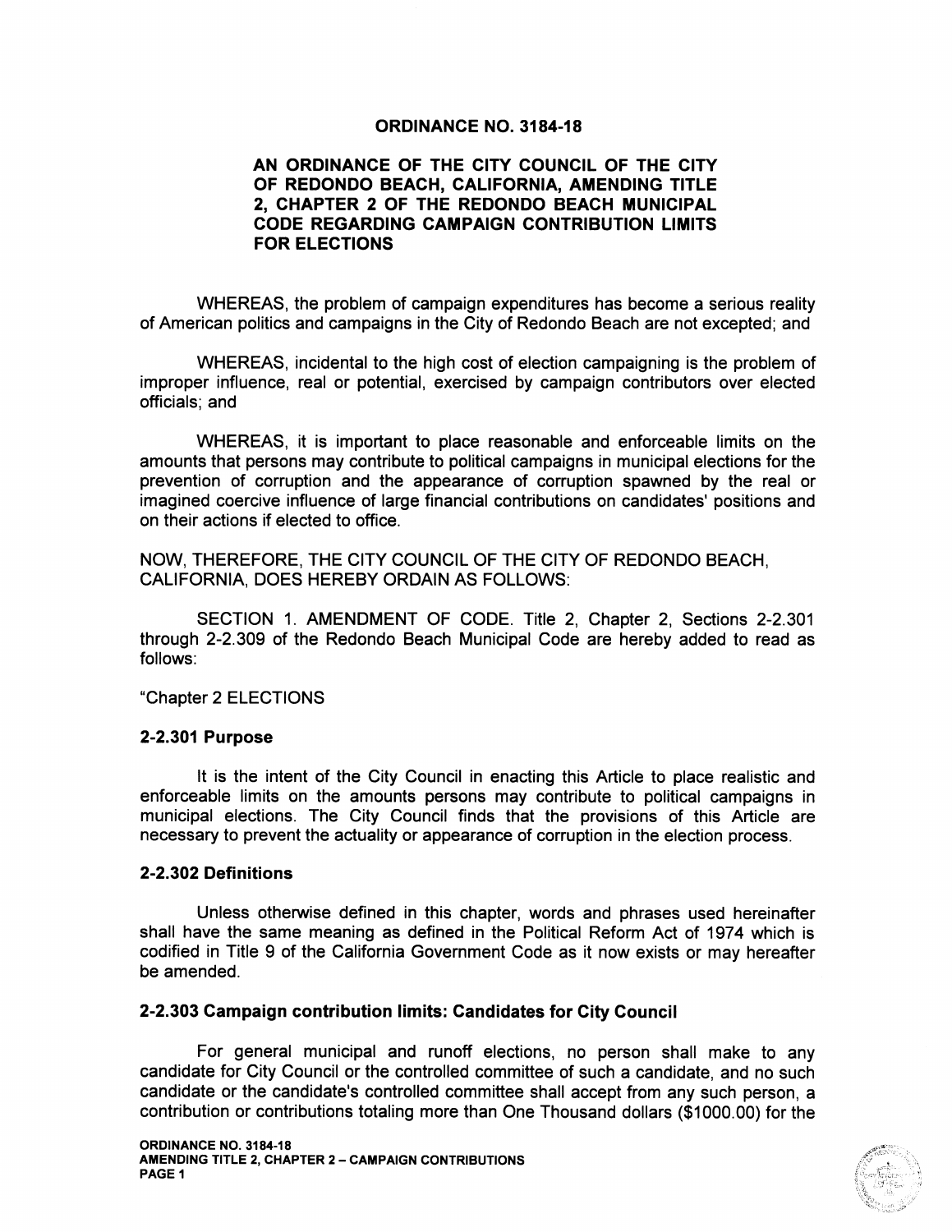## ORDINANCE NO. 3184-18

## AN ORDINANCE OF THE CITY COUNCIL OF THE CITY OF REDONDO BEACH, CALIFORNIA, AMENDING TITLE 2, CHAPTER 2 OF THE REDONDO BEACH MUNICIPAL CODE REGARDING CAMPAIGN CONTRIBUTION LIMITS FOR ELECTIONS

WHEREAS, the problem of campaign expenditures has become a serious reality of American politics and campaigns in the City of Redondo Beach are not excepted; and

WHEREAS, incidental to the high cost of election campaigning is the problem of improper influence, real or potential, exercised by campaign contributors over elected officials; and

WHEREAS, it is important to place reasonable and enforceable limits on the amounts that persons may contribute to political campaigns in municipal elections for the prevention of corruption and the appearance of corruption spawned by the real or imagined coercive influence of large financial contributions on candidates' positions and on their actions if elected to office.

NOW, THEREFORE, THE CITY COUNCIL OF THE CITY OF REDONDO BEACH, CALIFORNIA, DOES HEREBY ORDAIN AS FOLLOWS:

SECTION 1. AMENDMENT OF CODE. Title 2, Chapter 2, Sections 2-2.301 through 2-2.309 of the Redondo Beach Municipal Code are hereby added to read as follows:

Chapter 2 ELECTIONS

## 2-2.301 Purpose

It is the intent of the City Council in enacting this Article to place realistic and enforceable limits on the amounts persons may contribute to political campaigns in municipal elections. The City Council finds that the provisions of this Article are necessary to prevent the actuality or appearance of corruption in the election process.

## 2-2.302 Definitions

Unless otherwise defined in this chapter, words and phrases used hereinafter shall have the same meaning as defined in the Political Reform Act of 1974 which is codified in Title <sup>9</sup> of the California Government Code as it now exists or may hereafter be amended.

## 2- 2. 303 Campaign contribution limits: Candidates for City Council

For general municipal and runoff elections, no person shall make to any candidate for City Council or the controlled committee of such a candidate, and no such candidate or the candidate's controlled committee shall accept from any such person, <sup>a</sup> contribution or contributions totaling more than One Thousand dollars (\$ 1000.00) for the

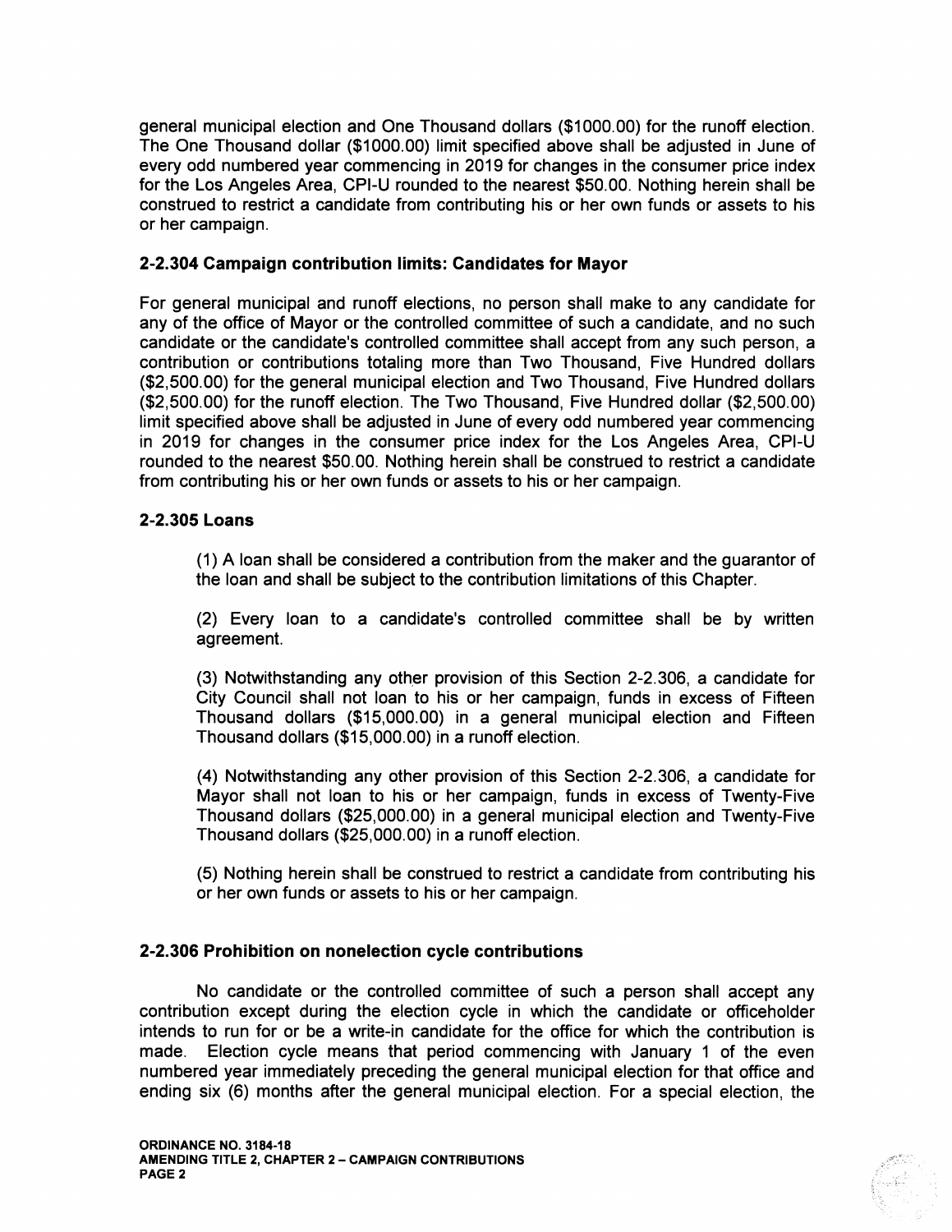general municipal election and One Thousand dollars (\$ 1000.00) for the runoff election. The One Thousand dollar (\$1000.00) limit specified above shall be adjusted in June of every odd numbered year commencing in 2019 for changes in the consumer price index for the Los Angeles Area, CPI-U rounded to the nearest \$50.00. Nothing herein shall be construed to restrict a candidate from contributing his or her own funds or assets to his or her campaign.

## 2- 2.304 Campaign contribution limits: Candidates for Mayor

For general municipal and runoff elections, no person shall make to any candidate for any of the office of Mayor or the controlled committee of such a candidate, and no such candidate or the candidate's controlled committee shall accept from any such person, <sup>a</sup> contribution or contributions totaling more than Two Thousand, Five Hundred dollars 2,500.00) for the general municipal election and Two Thousand, Five Hundred dollars 2, 500.00) for the runoff election. The Two Thousand, Five Hundred dollar (\$2, 500.00) limit specified above shall be adjusted in June of every odd numbered year commencing in 2019 for changes in the consumer price index for the Los Angeles Area, CPI-U rounded to the nearest \$50.00. Nothing herein shall be construed to restrict <sup>a</sup> candidate from contributing his or her own funds or assets to his or her campaign.

## 2-2.305 Loans

1) A loan shall be considered a contribution from the maker and the guarantor of the loan and shall be subject to the contribution limitations of this Chapter.

2) Every loan to a candidate's controlled committee shall be by written agreement.

(3) Notwithstanding any other provision of this Section 2-2.306, a candidate for City Council shall not loan to his or her campaign, funds in excess of Fifteen Thousand dollars (\$ 15,000.00) in a general municipal election and Fifteen Thousand dollars (\$ 15,000.00) in a runoff election.

4) Notwithstanding any other provision of this Section 2- 2.306, a candidate for Mayor shall not loan to his or her campaign, funds in excess of Twenty-Five Thousand dollars (\$ 25,000.00) in <sup>a</sup> general municipal election and Twenty-Five Thousand dollars (\$25,000.00) in a runoff election.

5) Nothing herein shall be construed to restrict a candidate from contributing his or her own funds or assets to his or her campaign.

# 2-2.306 Prohibition on nonelection cycle contributions

No candidate or the controlled committee of such a person shall accept any contribution except during the election cycle in which the candidate or officeholder intends to run for or be a write-in candidate for the office for which the contribution is made. Election cycle means that period commencing with January <sup>1</sup> of the even numbered year immediately preceding the general municipal election for that office and ending six (6) months after the general municipal election. For a special election, the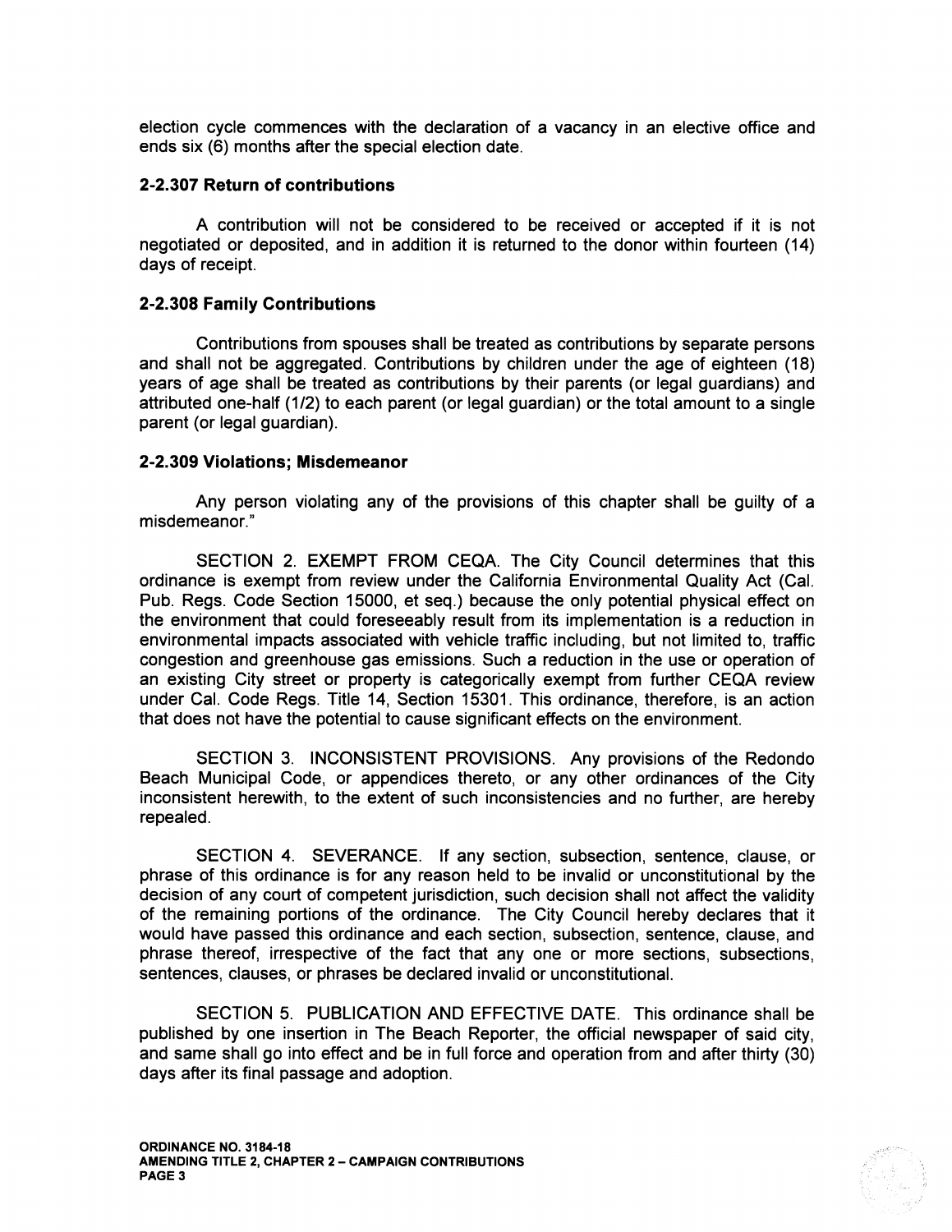election cycle commences with the declaration of a vacancy in an elective office and ends six (6) months after the special election date.

#### 2-2.307 Return of contributions

A contribution will not be considered to be received or accepted if it is not negotiated or deposited, and in addition it is returned to the donor within fourteen ( 14) days of receipt.

#### 2-2.308 Family Contributions

Contributions from spouses shall be treated as contributions by separate persons and shall not be aggregated. Contributions by children under the age of eighteen ( 18) years of age shall be treated as contributions by their parents (or legal guardians) and attributed one-half (1/2) to each parent (or legal guardian) or the total amount to a single parent (or legal guardian).

#### 2-2.309 Violations; Misdemeanor

Any person violating any of the provisions of this chapter shall be guilty of <sup>a</sup> misdemeanor."

SECTION 2. EXEMPT FROM CEQA. The City Council determines that this ordinance is exempt from review under the California Environmental Quality Act ( Cal. Pub. Regs. Code Section 15000, et seq.) because the only potential physical effect on the environment that could foreseeably result from its implementation is <sup>a</sup> reduction in environmental impacts associated with vehicle traffic including, but not limited to, traffic congestion and greenhouse gas emissions. Such a reduction in the use or operation of an existing City street or property is categorically exempt from further CEQA review under Cal. Code Regs. Title 14, Section 15301. This ordinance, therefore, is an action that does not have the potential to cause significant effects on the environment.

SECTION 3. INCONSISTENT PROVISIONS. Any provisions of the Redondo Beach Municipal Code, or appendices thereto, or any other ordinances of the City inconsistent herewith, to the extent of such inconsistencies and no further, are hereby repealed.

SECTION 4. SEVERANCE. If any section, subsection, sentence, clause, or phrase of this ordinance is for any reason held to be invalid or unconstitutional by the decision of any court of competent jurisdiction, such decision shall not affect the validity of the remaining portions of the ordinance. The City Council hereby declares that it would have passed this ordinance and each section, subsection, sentence, clause, and phrase thereof, irrespective of the fact that any one or more sections, subsections, sentences, clauses, or phrases be declared invalid or unconstitutional.

SECTION 5. PUBLICATION AND EFFECTIVE DATE. This ordinance shall be published by one insertion in The Beach Reporter, the official newspaper of said city, and same shall go into effect and be in full force and operation from and after thirty (30) days after its final passage and adoption.

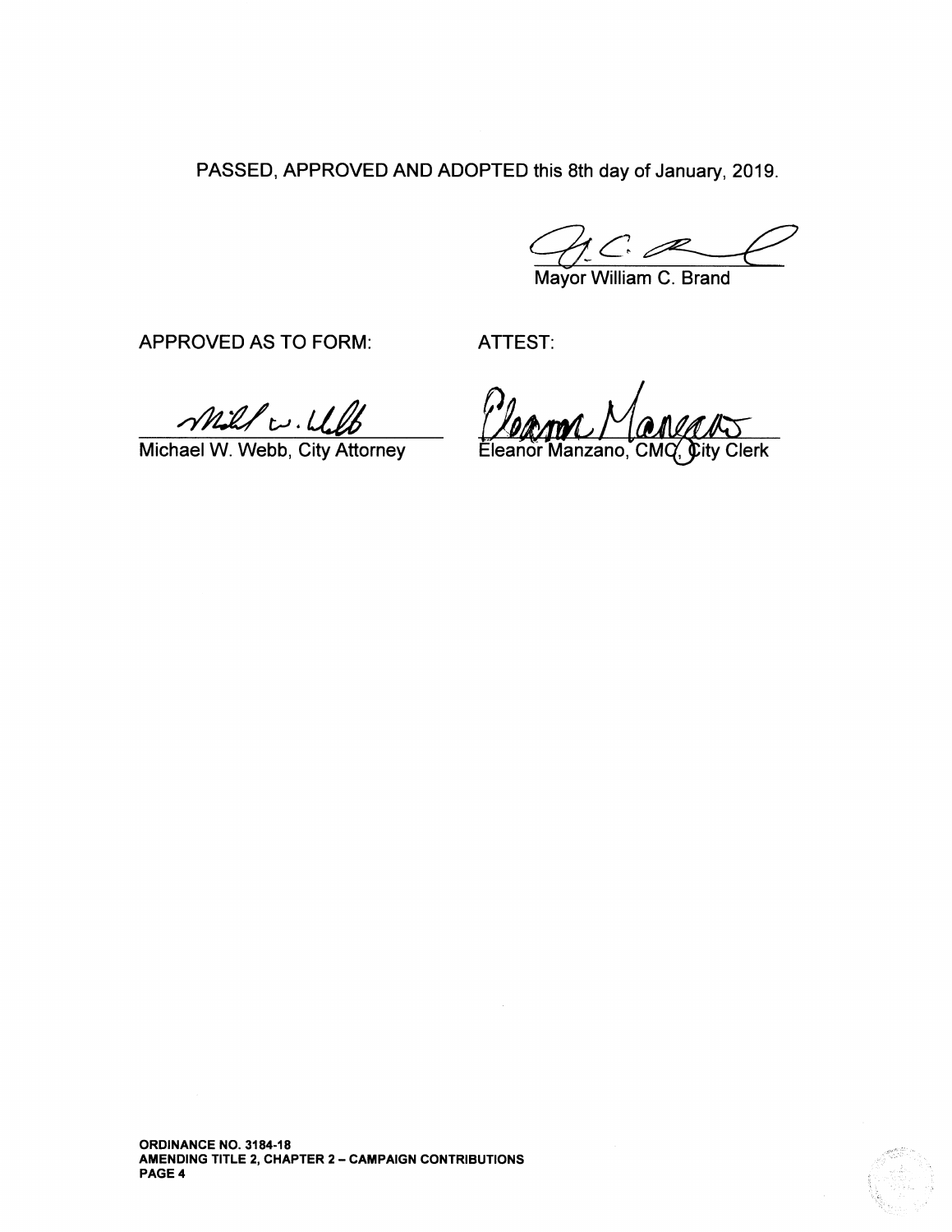PASSED, APPROVED AND ADOPTED this 8th day of January, 2019.

 $C_{\cdot}$ 

Mayor William C. Brand

APPROVED AS TO FORM: ATTEST:

Mill w. W. W [MANN MANANG]